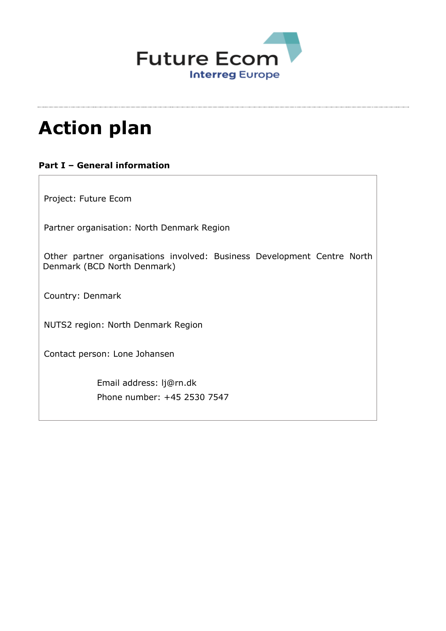

# **Action plan**

## **Part I – General information**

Project: Future Ecom

Partner organisation: North Denmark Region

Other partner organisations involved: Business Development Centre North Denmark (BCD North Denmark)

Country: Denmark

NUTS2 region: North Denmark Region

Contact person: Lone Johansen

Email address: lj@rn.dk Phone number: +45 2530 7547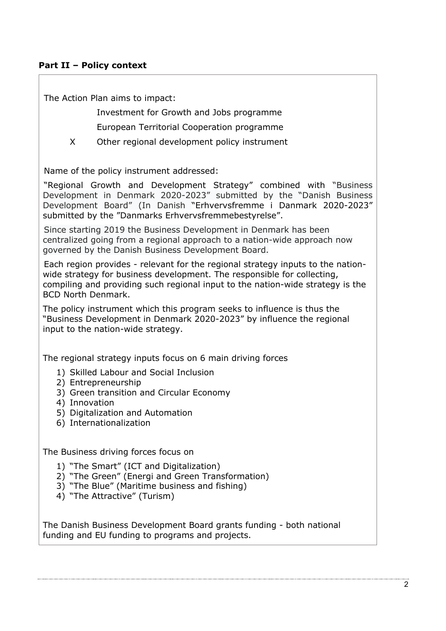## **Part II – Policy context**

The Action Plan aims to impact:

 Investment for Growth and Jobs programme European Territorial Cooperation programme

X Other regional development policy instrument

Name of the policy instrument addressed:

"Regional Growth and Development Strategy" combined with "Business Development in Denmark 2020-2023" submitted by the "Danish Business Development Board" (In Danish "Erhvervsfremme i Danmark 2020-2023" submitted by the "Danmarks Erhvervsfremmebestyrelse".

Since starting 2019 the Business Development in Denmark has been centralized going from a regional approach to a nation-wide approach now governed by the Danish Business Development Board.

Each region provides - relevant for the regional strategy inputs to the nationwide strategy for business development. The responsible for collecting, compiling and providing such regional input to the nation-wide strategy is the BCD North Denmark.

The policy instrument which this program seeks to influence is thus the "Business Development in Denmark 2020-2023" by influence the regional input to the nation-wide strategy.

The regional strategy inputs focus on 6 main driving forces

- 1) Skilled Labour and Social Inclusion
- 2) Entrepreneurship
- 3) Green transition and Circular Economy
- 4) Innovation
- 5) Digitalization and Automation
- 6) Internationalization

The Business driving forces focus on

- 1) "The Smart" (ICT and Digitalization)
- 2) "The Green" (Energi and Green Transformation)
- 3) "The Blue" (Maritime business and fishing)
- 4) "The Attractive" (Turism)

The Danish Business Development Board grants funding - both national funding and EU funding to programs and projects.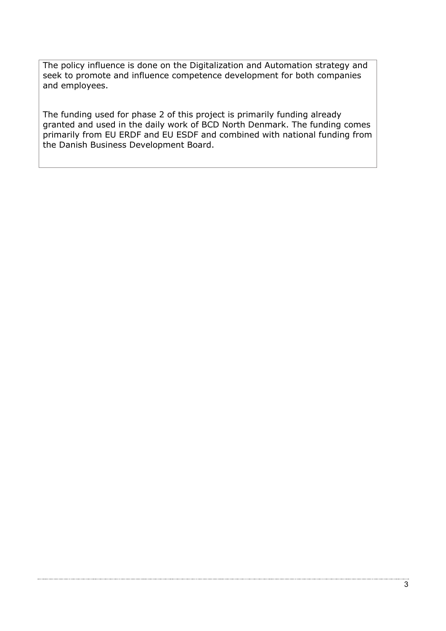The policy influence is done on the Digitalization and Automation strategy and seek to promote and influence competence development for both companies and employees.

The funding used for phase 2 of this project is primarily funding already granted and used in the daily work of BCD North Denmark. The funding comes primarily from EU ERDF and EU ESDF and combined with national funding from the Danish Business Development Board.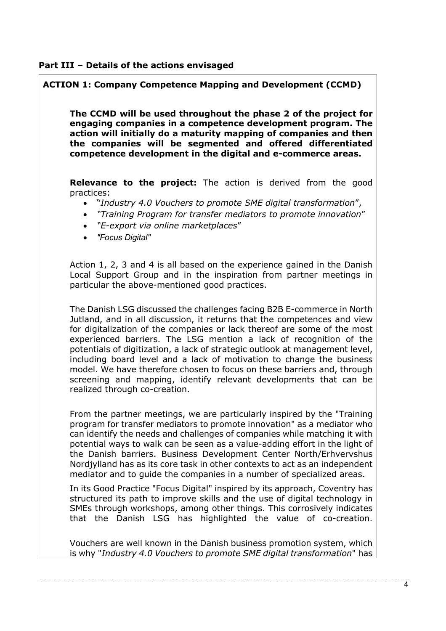#### **Part III – Details of the actions envisaged**

## **ACTION 1: Company Competence Mapping and Development (CCMD)**

**The CCMD will be used throughout the phase 2 of the project for engaging companies in a competence development program. The action will initially do a maturity mapping of companies and then the companies will be segmented and offered differentiated competence development in the digital and e-commerce areas.**

**Relevance to the project:** The action is derived from the good practices:

- "*Industry 4.0 Vouchers to promote SME digital transformation*",
- *"Training Program for transfer mediators to promote innovation*"
- *"E-export via online marketplaces*"
- *"Focus Digital"*

Action 1, 2, 3 and 4 is all based on the experience gained in the Danish Local Support Group and in the inspiration from partner meetings in particular the above-mentioned good practices.

The Danish LSG discussed the challenges facing B2B E-commerce in North Jutland, and in all discussion, it returns that the competences and view for digitalization of the companies or lack thereof are some of the most experienced barriers. The LSG mention a lack of recognition of the potentials of digitization, a lack of strategic outlook at management level, including board level and a lack of motivation to change the business model. We have therefore chosen to focus on these barriers and, through screening and mapping, identify relevant developments that can be realized through co-creation.

From the partner meetings, we are particularly inspired by the "Training program for transfer mediators to promote innovation" as a mediator who can identify the needs and challenges of companies while matching it with potential ways to walk can be seen as a value-adding effort in the light of the Danish barriers. Business Development Center North/Erhvervshus Nordjylland has as its core task in other contexts to act as an independent mediator and to guide the companies in a number of specialized areas.

In its Good Practice "Focus Digital" inspired by its approach, Coventry has structured its path to improve skills and the use of digital technology in SMEs through workshops, among other things. This corrosively indicates that the Danish LSG has highlighted the value of co-creation.

Vouchers are well known in the Danish business promotion system, which is why "*Industry 4.0 Vouchers to promote SME digital transformation*" has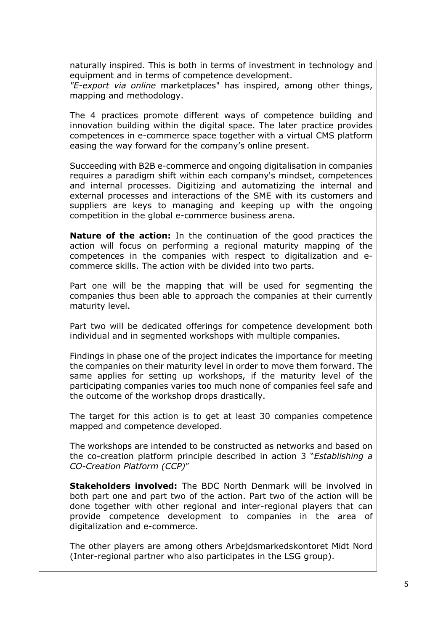naturally inspired. This is both in terms of investment in technology and equipment and in terms of competence development. *"E-export via online* marketplaces" has inspired, among other things,

mapping and methodology.

The 4 practices promote different ways of competence building and innovation building within the digital space. The later practice provides competences in e-commerce space together with a virtual CMS platform easing the way forward for the company's online present.

Succeeding with B2B e-commerce and ongoing digitalisation in companies requires a paradigm shift within each company's mindset, competences and internal processes. Digitizing and automatizing the internal and external processes and interactions of the SME with its customers and suppliers are keys to managing and keeping up with the ongoing competition in the global e-commerce business arena.

**Nature of the action:** In the continuation of the good practices the action will focus on performing a regional maturity mapping of the competences in the companies with respect to digitalization and ecommerce skills. The action with be divided into two parts.

Part one will be the mapping that will be used for segmenting the companies thus been able to approach the companies at their currently maturity level.

Part two will be dedicated offerings for competence development both individual and in segmented workshops with multiple companies.

Findings in phase one of the project indicates the importance for meeting the companies on their maturity level in order to move them forward. The same applies for setting up workshops, if the maturity level of the participating companies varies too much none of companies feel safe and the outcome of the workshop drops drastically.

The target for this action is to get at least 30 companies competence mapped and competence developed.

The workshops are intended to be constructed as networks and based on the co-creation platform principle described in action 3 "*Establishing a CO-Creation Platform (CCP)*"

**Stakeholders involved:** The BDC North Denmark will be involved in both part one and part two of the action. Part two of the action will be done together with other regional and inter-regional players that can provide competence development to companies in the area of digitalization and e-commerce.

The other players are among others Arbejdsmarkedskontoret Midt Nord (Inter-regional partner who also participates in the LSG group).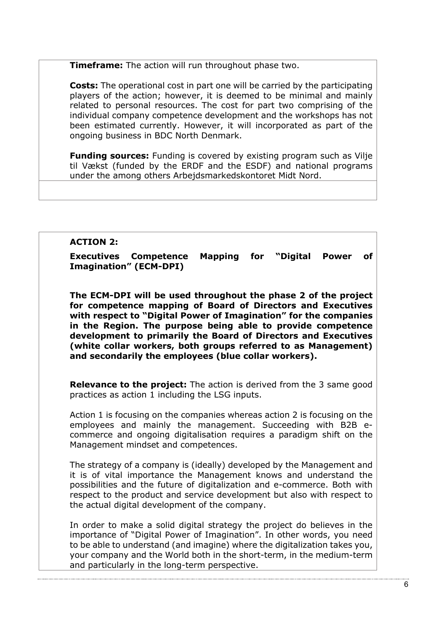**Timeframe:** The action will run throughout phase two.

**Costs:** The operational cost in part one will be carried by the participating players of the action; however, it is deemed to be minimal and mainly related to personal resources. The cost for part two comprising of the individual company competence development and the workshops has not been estimated currently. However, it will incorporated as part of the ongoing business in BDC North Denmark.

**Funding sources:** Funding is covered by existing program such as Vilje til Vækst (funded by the ERDF and the ESDF) and national programs under the among others Arbejdsmarkedskontoret Midt Nord.

#### **ACTION 2:**

**Executives Competence Mapping for "Digital Power of Imagination" (ECM-DPI)** 

**The ECM-DPI will be used throughout the phase 2 of the project for competence mapping of Board of Directors and Executives with respect to "Digital Power of Imagination" for the companies in the Region. The purpose being able to provide competence development to primarily the Board of Directors and Executives (white collar workers, both groups referred to as Management) and secondarily the employees (blue collar workers).**

**Relevance to the project:** The action is derived from the 3 same good practices as action 1 including the LSG inputs.

Action 1 is focusing on the companies whereas action 2 is focusing on the employees and mainly the management. Succeeding with B2B ecommerce and ongoing digitalisation requires a paradigm shift on the Management mindset and competences.

The strategy of a company is (ideally) developed by the Management and it is of vital importance the Management knows and understand the possibilities and the future of digitalization and e-commerce. Both with respect to the product and service development but also with respect to the actual digital development of the company.

In order to make a solid digital strategy the project do believes in the importance of "Digital Power of Imagination". In other words, you need to be able to understand (and imagine) where the digitalization takes you, your company and the World both in the short-term, in the medium-term and particularly in the long-term perspective.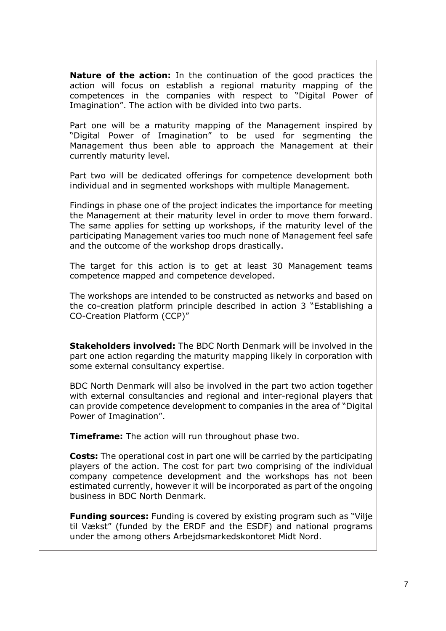**Nature of the action:** In the continuation of the good practices the action will focus on establish a regional maturity mapping of the competences in the companies with respect to "Digital Power of Imagination". The action with be divided into two parts.

Part one will be a maturity mapping of the Management inspired by "Digital Power of Imagination" to be used for segmenting the Management thus been able to approach the Management at their currently maturity level.

Part two will be dedicated offerings for competence development both individual and in segmented workshops with multiple Management.

Findings in phase one of the project indicates the importance for meeting the Management at their maturity level in order to move them forward. The same applies for setting up workshops, if the maturity level of the participating Management varies too much none of Management feel safe and the outcome of the workshop drops drastically.

The target for this action is to get at least 30 Management teams competence mapped and competence developed.

The workshops are intended to be constructed as networks and based on the co-creation platform principle described in action 3 "Establishing a CO-Creation Platform (CCP)"

**Stakeholders involved:** The BDC North Denmark will be involved in the part one action regarding the maturity mapping likely in corporation with some external consultancy expertise.

BDC North Denmark will also be involved in the part two action together with external consultancies and regional and inter-regional players that can provide competence development to companies in the area of "Digital Power of Imagination".

**Timeframe:** The action will run throughout phase two.

**Costs:** The operational cost in part one will be carried by the participating players of the action. The cost for part two comprising of the individual company competence development and the workshops has not been estimated currently, however it will be incorporated as part of the ongoing business in BDC North Denmark.

**Funding sources:** Funding is covered by existing program such as "Vilje til Vækst" (funded by the ERDF and the ESDF) and national programs under the among others Arbejdsmarkedskontoret Midt Nord.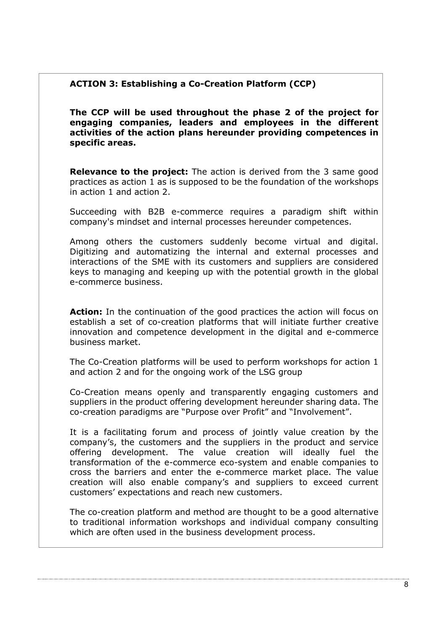## **ACTION 3: Establishing a Co-Creation Platform (CCP)**

**The CCP will be used throughout the phase 2 of the project for engaging companies, leaders and employees in the different activities of the action plans hereunder providing competences in specific areas.**

**Relevance to the project:** The action is derived from the 3 same good practices as action 1 as is supposed to be the foundation of the workshops in action 1 and action 2.

Succeeding with B2B e-commerce requires a paradigm shift within company's mindset and internal processes hereunder competences.

Among others the customers suddenly become virtual and digital. Digitizing and automatizing the internal and external processes and interactions of the SME with its customers and suppliers are considered keys to managing and keeping up with the potential growth in the global e-commerce business.

**Action:** In the continuation of the good practices the action will focus on establish a set of co-creation platforms that will initiate further creative innovation and competence development in the digital and e-commerce business market.

The Co-Creation platforms will be used to perform workshops for action 1 and action 2 and for the ongoing work of the LSG group

Co-Creation means openly and transparently engaging customers and suppliers in the product offering development hereunder sharing data. The co-creation paradigms are "Purpose over Profit" and "Involvement".

It is a facilitating forum and process of jointly value creation by the company's, the customers and the suppliers in the product and service offering development. The value creation will ideally fuel the transformation of the e-commerce eco-system and enable companies to cross the barriers and enter the e-commerce market place. The value creation will also enable company's and suppliers to exceed current customers' expectations and reach new customers.

The co-creation platform and method are thought to be a good alternative to traditional information workshops and individual company consulting which are often used in the business development process.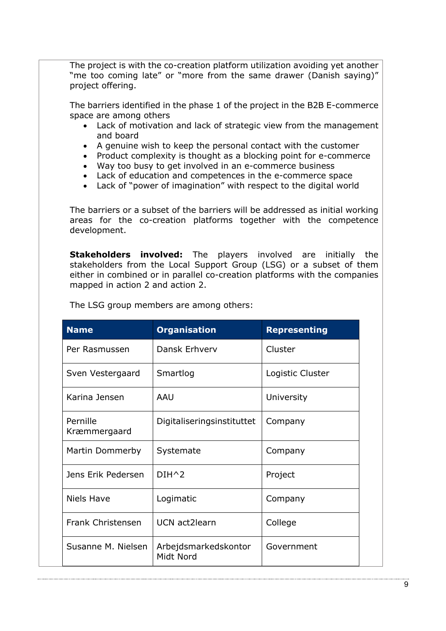The project is with the co-creation platform utilization avoiding yet another "me too coming late" or "more from the same drawer (Danish saying)" project offering.

The barriers identified in the phase 1 of the project in the B2B E-commerce space are among others

- Lack of motivation and lack of strategic view from the management and board
- A genuine wish to keep the personal contact with the customer
- Product complexity is thought as a blocking point for e-commerce
- Way too busy to get involved in an e-commerce business
- Lack of education and competences in the e-commerce space
- Lack of "power of imagination" with respect to the digital world

The barriers or a subset of the barriers will be addressed as initial working areas for the co-creation platforms together with the competence development.

**Stakeholders involved:** The players involved are initially the stakeholders from the Local Support Group (LSG) or a subset of them either in combined or in parallel co-creation platforms with the companies mapped in action 2 and action 2.

| <b>Name</b>              | <b>Organisation</b>               | <b>Representing</b> |
|--------------------------|-----------------------------------|---------------------|
| Per Rasmussen            | Dansk Erhverv                     | Cluster             |
| Sven Vestergaard         | Smartlog                          | Logistic Cluster    |
| Karina Jensen            | AAU                               | University          |
| Pernille<br>Kræmmergaard | Digitaliseringsinstituttet        | Company             |
| Martin Dommerby          | Systemate                         | Company             |
| Jens Erik Pedersen       | $DIH^2$                           | Project             |
| <b>Niels Have</b>        | Logimatic                         | Company             |
| Frank Christensen        | UCN act2learn                     | College             |
| Susanne M. Nielsen       | Arbejdsmarkedskontor<br>Midt Nord | Government          |

The LSG group members are among others: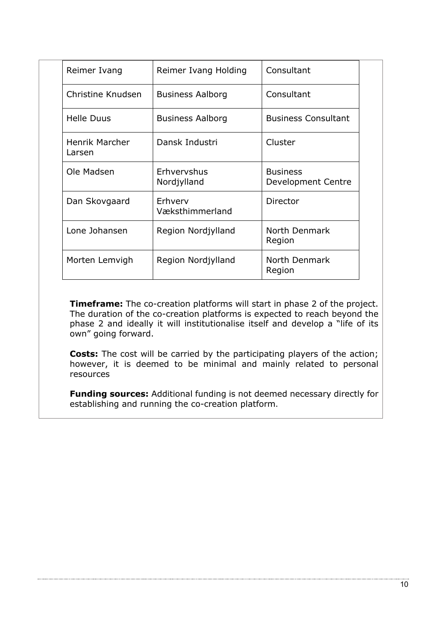| Reimer Ivang                    | Reimer Ivang Holding       | Consultant                            |
|---------------------------------|----------------------------|---------------------------------------|
| Christine Knudsen               | <b>Business Aalborg</b>    | Consultant                            |
| <b>Helle Duus</b>               | <b>Business Aalborg</b>    | <b>Business Consultant</b>            |
| <b>Henrik Marcher</b><br>Larsen | Dansk Industri             | Cluster                               |
| Ole Madsen                      | Erhvervshus<br>Nordjylland | <b>Business</b><br>Development Centre |
| Dan Skovgaard                   | Erhverv<br>Væksthimmerland | Director                              |
| Lone Johansen                   | Region Nordjylland         | North Denmark<br>Region               |
| Morten Lemvigh                  | Region Nordjylland         | North Denmark<br>Region               |

**Timeframe:** The co-creation platforms will start in phase 2 of the project. The duration of the co-creation platforms is expected to reach beyond the phase 2 and ideally it will institutionalise itself and develop a "life of its own" going forward.

**Costs:** The cost will be carried by the participating players of the action; however, it is deemed to be minimal and mainly related to personal resources

**Funding sources:** Additional funding is not deemed necessary directly for establishing and running the co-creation platform.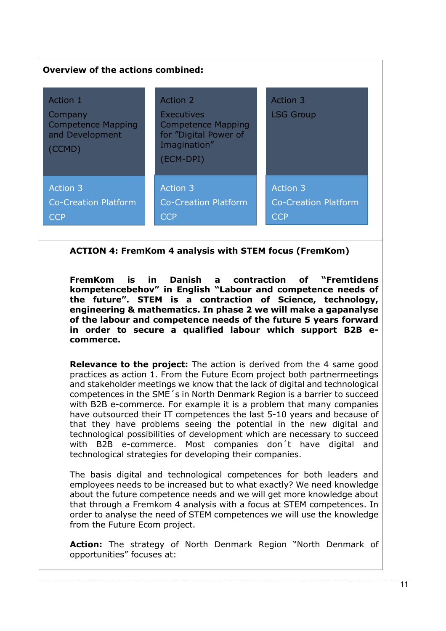| <b>Overview of the actions combined:</b>                                      |                                                                                                                  |                                                |  |  |  |
|-------------------------------------------------------------------------------|------------------------------------------------------------------------------------------------------------------|------------------------------------------------|--|--|--|
| Action 1<br>Company<br><b>Competence Mapping</b><br>and Development<br>(CCMD) | Action 2<br><b>Executives</b><br><b>Competence Mapping</b><br>for "Digital Power of<br>Imagination"<br>(ECM-DPI) | Action 3<br><b>LSG Group</b>                   |  |  |  |
| <b>Action 3</b><br><b>Co-Creation Platform</b><br><b>CCP</b>                  | <b>Action 3</b><br><b>Co-Creation Platform</b><br><b>CCP</b>                                                     | Action 3<br>Co-Creation Platform<br><b>CCP</b> |  |  |  |

**ACTION 4: FremKom 4 analysis with STEM focus (FremKom)**

**FremKom is in Danish a contraction of "Fremtidens kompetencebehov" in English "Labour and competence needs of the future". STEM is a contraction of Science, technology, engineering & mathematics. In phase 2 we will make a gapanalyse of the labour and competence needs of the future 5 years forward in order to secure a qualified labour which support B2B ecommerce.**

**Relevance to the project:** The action is derived from the 4 same good practices as action 1. From the Future Ecom project both partnermeetings and stakeholder meetings we know that the lack of digital and technological competences in the SME´s in North Denmark Region is a barrier to succeed with B2B e-commerce. For example it is a problem that many companies have outsourced their IT competences the last 5-10 years and because of that they have problems seeing the potential in the new digital and technological possibilities of development which are necessary to succeed with B2B e-commerce. Most companies don´t have digital and technological strategies for developing their companies.

The basis digital and technological competences for both leaders and employees needs to be increased but to what exactly? We need knowledge about the future competence needs and we will get more knowledge about that through a Fremkom 4 analysis with a focus at STEM competences. In order to analyse the need of STEM competences we will use the knowledge from the Future Ecom project.

**Action:** The strategy of North Denmark Region "North Denmark of opportunities" focuses at: